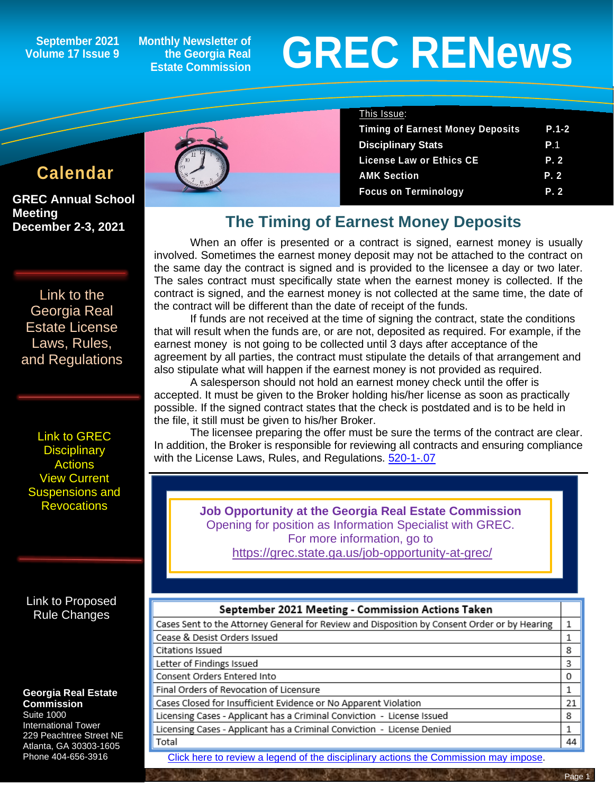**September 2021 Volume 17 Issue 9**

**Monthly Newsletter of the Georgia Real Estate Commission**

# **GREC RENewsGREC RENews**

# **Calendar**

**GREC Annual School Meeting December 2-3, 2021** 

[Link to the](https://grec.state.ga.us/information-research/license-law/)  [Georgia Real](https://grec.state.ga.us/information-research/license-law/)  [Estate License](https://grec.state.ga.us/information-research/license-law/)  [Laws, Rules,](https://grec.state.ga.us/information-research/license-law/)  [and Regulations](https://grec.state.ga.us/information-research/license-law/)

Link [to GREC](https://grec.state.ga.us/information-research/disciplinary-actions/real-estate/)  **Disciplinary Actions** [View Current](https://grec.state.ga.us/information-research/disciplinary-actions/real-estate/)  [Suspensions and](https://grec.state.ga.us/information-research/disciplinary-actions/real-estate/)  **[Revocations](https://grec.state.ga.us/information-research/disciplinary-actions/real-estate/)** 

[Link to Proposed](https://grec.state.ga.us/proposed-rule-change/)  [Rule Changes](https://grec.state.ga.us/information-research/legislation/real-estate/)

#### **Georgia Real Estate Commission**

Suite 1000 International Tower 229 Peachtree Street NE Atlanta, GA 30303-1605 Phone 404-656-3916



| This Issue:                             |            |
|-----------------------------------------|------------|
| <b>Timing of Earnest Money Deposits</b> | $P.1-2$    |
| <b>Disciplinary Stats</b>               | <b>P</b> 1 |
| <b>License Law or Ethics CE</b>         | P. 2       |
| <b>AMK Section</b>                      | P.2        |
| <b>Focus on Terminology</b>             | P.2        |

# **The Timing of Earnest Money Deposits**

When an offer is presented or a contract is signed, earnest money is usually involved. Sometimes the earnest money deposit may not be attached to the contract on the same day the contract is signed and is provided to the licensee a day or two later. The sales contract must specifically state when the earnest money is collected. If the contract is signed, and the earnest money is not collected at the same time, the date of the contract will be different than the date of receipt of the funds.

If funds are not received at the time of signing the contract, state the conditions that will result when the funds are, or are not, deposited as required. For example, if the earnest money is not going to be collected until 3 days after acceptance of the agreement by all parties, the contract must stipulate the details of that arrangement and also stipulate what will happen if the earnest money is not provided as required.

A salesperson should not hold an earnest money check until the offer is accepted. It must be given to the Broker holding his/her license as soon as practically possible. If the signed contract states that the check is postdated and is to be held in the file, it still must be given to his/her Broker.

The licensee preparing the offer must be sure the terms of the contract are clear. In addition, the Broker is responsible for reviewing all contracts and ensuring compliance with the License Laws, Rules, and Regulations. [520-1-.07](https://grec.state.ga.us/information-research/license-law/)

> **Job Opportunity at the Georgia Real Estate Commission** Opening for position as Information Specialist with GREC. For more information, go to <https://grec.state.ga.us/job-opportunity-at-grec/>

#### September 2021 Meeting - Commission Actions Taken

| Cases Sent to the Attorney General for Review and Disposition by Consent Order or by Hearing | 1  |
|----------------------------------------------------------------------------------------------|----|
| Cease & Desist Orders Issued                                                                 | 1  |
| Citations Issued                                                                             | 8  |
| Letter of Findings Issued                                                                    | 3  |
| Consent Orders Entered Into                                                                  | 0  |
| Final Orders of Revocation of Licensure                                                      | 1  |
| Cases Closed for Insufficient Evidence or No Apparent Violation                              | 21 |
| Licensing Cases - Applicant has a Criminal Conviction - License Issued                       | 8  |
| Licensing Cases - Applicant has a Criminal Conviction - License Denied                       | 1  |
| Total                                                                                        | 44 |

[Click here to review a legend of the disciplinary actions the Commission may impose.](https://www.jmre.com/grec/GRECDisciplinaryTools.pdf)